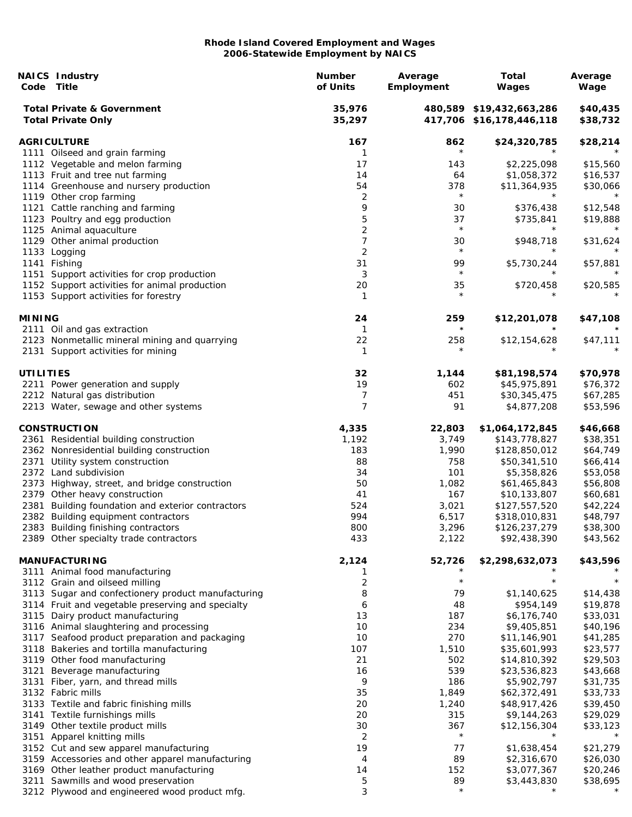|                  | <b>NAICS Industry</b><br>Code Title                                                 | <b>Number</b><br>of Units | Average<br>Employment | <b>Total</b><br>Wages                                | Average<br>Wage      |
|------------------|-------------------------------------------------------------------------------------|---------------------------|-----------------------|------------------------------------------------------|----------------------|
|                  | <b>Total Private &amp; Government</b><br><b>Total Private Only</b>                  | 35,976<br>35,297          |                       | 480,589 \$19,432,663,286<br>417,706 \$16,178,446,118 | \$40,435<br>\$38,732 |
|                  | <b>AGRICULTURE</b>                                                                  | 167                       | 862                   | \$24,320,785                                         | \$28,214             |
|                  | 1111 Oilseed and grain farming                                                      | 1                         | $\star$               |                                                      |                      |
|                  | 1112 Vegetable and melon farming                                                    | 17                        | 143                   | \$2,225,098                                          | \$15,560             |
|                  | 1113 Fruit and tree nut farming                                                     | 14                        | 64                    | \$1,058,372                                          | \$16,537             |
|                  | 1114 Greenhouse and nursery production                                              | 54                        | 378                   | \$11,364,935                                         | \$30,066             |
|                  | 1119 Other crop farming                                                             | 2                         | $\star$               | $\star$                                              | $\star$              |
|                  | 1121 Cattle ranching and farming                                                    | 9                         | 30                    | \$376,438                                            | \$12,548             |
|                  | 1123 Poultry and egg production                                                     | 5                         | 37<br>$\star$         | \$735,841<br>$^\star$                                | \$19,888<br>$\star$  |
|                  | 1125 Animal aquaculture                                                             | $\overline{c}$            |                       |                                                      |                      |
|                  | 1129 Other animal production                                                        | $\boldsymbol{7}$          | 30<br>$\star$         | \$948,718                                            | \$31,624             |
|                  | 1133 Logging                                                                        | 2                         | 99                    |                                                      |                      |
| 1151             | 1141 Fishing<br>Support activities for crop production                              | 31<br>3                   | $\star$               | \$5,730,244                                          | \$57,881             |
|                  | 1152 Support activities for animal production                                       | 20                        | 35                    | \$720,458                                            | \$20,585             |
|                  | 1153 Support activities for forestry                                                | 1                         | $\star$               |                                                      |                      |
| <b>MINING</b>    |                                                                                     | 24                        | 259                   | \$12,201,078                                         | \$47,108             |
|                  | 2111 Oil and gas extraction                                                         | $\mathbf{1}$              | $\star$               |                                                      | $\star$              |
|                  | 2123 Nonmetallic mineral mining and quarrying<br>2131 Support activities for mining | 22<br>1                   | 258<br>$^\star$       | \$12,154,628                                         | \$47,111             |
| <b>UTILITIES</b> |                                                                                     | 32                        | 1,144                 | \$81,198,574                                         | \$70,978             |
|                  | 2211 Power generation and supply                                                    | 19                        | 602                   | \$45,975,891                                         | \$76,372             |
|                  | 2212 Natural gas distribution                                                       | 7                         | 451                   | \$30,345,475                                         | \$67,285             |
|                  | 2213 Water, sewage and other systems                                                | 7                         | 91                    | \$4,877,208                                          | \$53,596             |
|                  | <b>CONSTRUCTION</b>                                                                 | 4,335                     | 22,803                | \$1,064,172,845                                      | \$46,668             |
|                  | 2361 Residential building construction                                              | 1,192                     | 3,749                 | \$143,778,827                                        | \$38,351             |
|                  | 2362 Nonresidential building construction                                           | 183                       | 1,990                 | \$128,850,012                                        | \$64,749             |
|                  | 2371 Utility system construction                                                    | 88                        | 758                   | \$50,341,510                                         | \$66,414             |
|                  | 2372 Land subdivision                                                               | 34                        | 101                   | \$5,358,826                                          | \$53,058             |
|                  | 2373 Highway, street, and bridge construction                                       | 50                        | 1,082                 | \$61,465,843                                         | \$56,808             |
|                  | 2379 Other heavy construction                                                       | 41                        | 167                   | \$10,133,807                                         | \$60,681             |
| 2381             | Building foundation and exterior contractors                                        | 524                       | 3,021                 | \$127,557,520                                        | \$42,224             |
|                  | 2382 Building equipment contractors                                                 | 994                       | 6,517                 | \$318,010,831                                        | \$48,797             |
|                  | 2383 Building finishing contractors                                                 | 800                       | 3,296                 | \$126,237,279                                        | \$38,300             |
|                  | 2389 Other specialty trade contractors                                              | 433                       | 2,122                 | \$92,438,390                                         | \$43,562             |
|                  | <b>MANUFACTURING</b><br>3111 Animal food manufacturing                              | 2,124<br>1                | 52,726                | \$2,298,632,073                                      | \$43,596             |
|                  | 3112 Grain and oilseed milling                                                      | $\overline{2}$            | $\star$               | $^\star$                                             |                      |
|                  | 3113 Sugar and confectionery product manufacturing                                  | 8                         | 79                    | \$1,140,625                                          | \$14,438             |
|                  | 3114 Fruit and vegetable preserving and specialty                                   | 6                         | 48                    | \$954,149                                            | \$19,878             |
|                  | 3115 Dairy product manufacturing                                                    | 13                        | 187                   | \$6,176,740                                          | \$33,031             |
|                  | 3116 Animal slaughtering and processing                                             | 10                        | 234                   | \$9,405,851                                          | \$40,196             |
|                  | 3117 Seafood product preparation and packaging                                      | 10                        | 270                   | \$11,146,901                                         | \$41,285             |
|                  | 3118 Bakeries and tortilla manufacturing                                            | 107                       | 1,510                 | \$35,601,993                                         | \$23,577             |
|                  | 3119 Other food manufacturing                                                       | 21                        | 502                   | \$14,810,392                                         | \$29,503             |
| 3121             | Beverage manufacturing                                                              | 16                        | 539                   | \$23,536,823                                         | \$43,668             |
| 3131             | Fiber, yarn, and thread mills                                                       | 9                         | 186                   | \$5,902,797                                          | \$31,735             |
|                  | 3132 Fabric mills                                                                   | 35                        | 1,849                 | \$62,372,491                                         | \$33,733             |
|                  | 3133 Textile and fabric finishing mills                                             | 20                        | 1,240                 | \$48,917,426                                         | \$39,450             |
|                  | 3141 Textile furnishings mills                                                      | 20                        | 315                   | \$9,144,263                                          | \$29,029             |
|                  | 3149 Other textile product mills                                                    | 30                        | 367                   | \$12,156,304                                         | \$33,123             |
|                  | 3151 Apparel knitting mills                                                         | 2                         | $^\star$              |                                                      |                      |
|                  | 3152 Cut and sew apparel manufacturing                                              | 19                        | 77                    | \$1,638,454                                          | \$21,279             |
|                  | 3159 Accessories and other apparel manufacturing                                    | 4                         | 89                    | \$2,316,670                                          | \$26,030             |
|                  | 3169 Other leather product manufacturing                                            | 14                        | 152                   | \$3,077,367                                          | \$20,246             |
| 3211             | Sawmills and wood preservation                                                      | 5                         | 89<br>$\star$         | \$3,443,830<br>$^\star$                              | \$38,695             |
|                  | 3212 Plywood and engineered wood product mfg.                                       | 3                         |                       |                                                      |                      |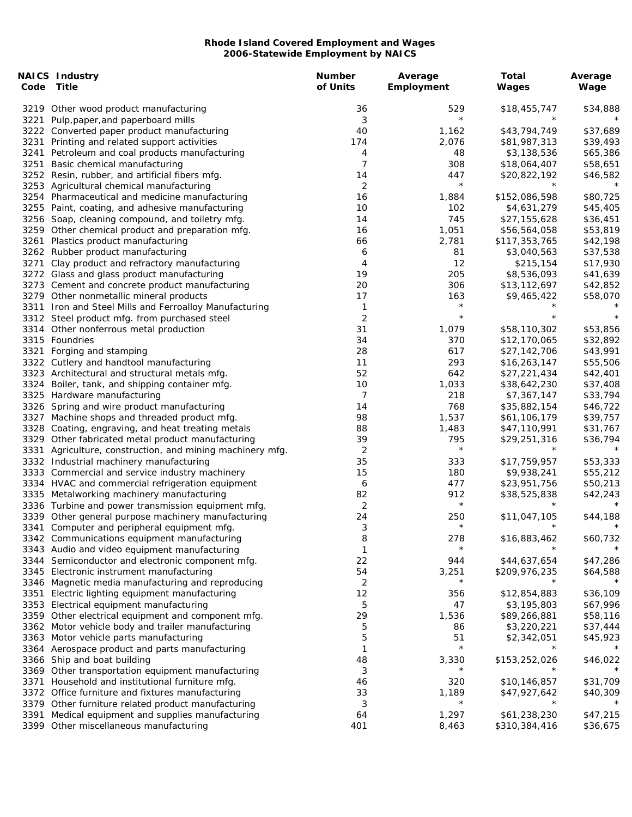|      | <b>NAICS Industry</b><br>Code Title                                           | <b>Number</b><br>of Units | Average<br>Employment | <b>Total</b><br>Wages    | Average<br>Wage |
|------|-------------------------------------------------------------------------------|---------------------------|-----------------------|--------------------------|-----------------|
|      | 3219 Other wood product manufacturing                                         | 36                        | 529                   | \$18,455,747             | \$34,888        |
| 3221 | Pulp, paper, and paperboard mills                                             | 3                         | $\star$               |                          |                 |
|      | 3222 Converted paper product manufacturing                                    | 40                        | 1,162                 | \$43,794,749             | \$37,689        |
| 3231 | Printing and related support activities                                       | 174                       | 2,076                 | \$81,987,313             | \$39,493        |
| 3241 | Petroleum and coal products manufacturing                                     | 4                         | 48                    | \$3,138,536              | \$65,386        |
| 3251 | Basic chemical manufacturing                                                  | 7                         | 308                   | \$18,064,407             | \$58,651        |
|      | 3252 Resin, rubber, and artificial fibers mfg.                                | 14                        | 447                   | \$20,822,192             | \$46,582        |
|      | 3253 Agricultural chemical manufacturing                                      | 2                         | $\star$               | $^\star$                 | $\star$         |
|      | 3254 Pharmaceutical and medicine manufacturing                                | 16                        | 1,884                 | \$152,086,598            | \$80,725        |
|      | 3255 Paint, coating, and adhesive manufacturing                               | 10                        | 102                   | \$4,631,279              | \$45,405        |
|      | 3256 Soap, cleaning compound, and toiletry mfg.                               | 14                        | 745                   | \$27,155,628             | \$36,451        |
|      | 3259 Other chemical product and preparation mfg.                              | 16                        | 1,051                 | \$56,564,058             | \$53,819        |
| 3261 | Plastics product manufacturing                                                | 66                        | 2,781                 | \$117,353,765            | \$42,198        |
|      | 3262 Rubber product manufacturing                                             | 6                         | 81                    | \$3,040,563              | \$37,538        |
| 3271 | Clay product and refractory manufacturing                                     | 4                         | 12                    | \$215,154                | \$17,930        |
|      | 3272 Glass and glass product manufacturing                                    | 19                        | 205                   | \$8,536,093              | \$41,639        |
|      | 3273 Cement and concrete product manufacturing                                | 20                        | 306                   | \$13,112,697             | \$42,852        |
|      | 3279 Other nonmetallic mineral products                                       | 17                        | 163                   | \$9,465,422              | \$58,070        |
|      | 3311 Iron and Steel Mills and Ferroalloy Manufacturing                        | 1                         | $\star$               | $^\star$                 |                 |
|      | 3312 Steel product mfg. from purchased steel                                  | 2                         | $\star$               |                          | $\star$         |
|      | 3314 Other nonferrous metal production                                        | 31                        | 1,079                 | \$58,110,302             | \$53,856        |
|      | 3315 Foundries                                                                | 34                        | 370                   | \$12,170,065             | \$32,892        |
| 3321 | Forging and stamping                                                          | 28                        | 617                   | \$27,142,706             | \$43,991        |
|      | 3322 Cutlery and handtool manufacturing                                       | 11                        | 293                   | \$16,263,147             | \$55,506        |
|      | 3323 Architectural and structural metals mfg.                                 | 52                        | 642                   | \$27,221,434             | \$42,401        |
|      |                                                                               | 10                        | 1,033                 |                          | \$37,408        |
|      | 3324 Boiler, tank, and shipping container mfg.<br>3325 Hardware manufacturing | 7                         | 218                   | \$38,642,230             |                 |
|      |                                                                               |                           |                       | \$7,367,147              | \$33,794        |
|      | 3326 Spring and wire product manufacturing                                    | 14                        | 768                   | \$35,882,154             | \$46,722        |
|      | 3327 Machine shops and threaded product mfg.                                  | 98                        | 1,537                 | \$61,106,179             | \$39,757        |
|      | 3328 Coating, engraving, and heat treating metals                             | 88                        | 1,483                 | \$47,110,991             | \$31,767        |
| 3329 | Other fabricated metal product manufacturing                                  | 39                        | 795<br>$\star$        | \$29,251,316<br>$^\star$ | \$36,794        |
| 3331 | Agriculture, construction, and mining machinery mfg.                          | 2                         |                       |                          |                 |
|      | 3332 Industrial machinery manufacturing                                       | 35                        | 333                   | \$17,759,957             | \$53,333        |
|      | 3333 Commercial and service industry machinery                                | 15                        | 180                   | \$9,938,241              | \$55,212        |
|      | 3334 HVAC and commercial refrigeration equipment                              | 6                         | 477                   | \$23,951,756             | \$50,213        |
|      | 3335 Metalworking machinery manufacturing                                     | 82                        | 912                   | \$38,525,838             | \$42,243        |
|      | 3336 Turbine and power transmission equipment mfg.                            | 2                         | $\star$               | $^\star$                 |                 |
|      | 3339 Other general purpose machinery manufacturing                            | 24                        | 250                   | \$11,047,105             | \$44,188        |
| 3341 | Computer and peripheral equipment mfg.                                        | 3                         | $\star$               |                          | $^{\star}$      |
|      | 3342 Communications equipment manufacturing                                   | 8                         | 278                   | \$16,883,462             | \$60,732        |
|      | 3343 Audio and video equipment manufacturing                                  | 1                         | $\star$               |                          |                 |
|      | 3344 Semiconductor and electronic component mfg.                              | 22                        | 944                   | \$44,637,654             | \$47,286        |
|      | 3345 Electronic instrument manufacturing                                      | 54                        | 3,251                 | \$209,976,235            | \$64,588        |
|      | 3346 Magnetic media manufacturing and reproducing                             | 2                         | $\star$               |                          |                 |
| 3351 | Electric lighting equipment manufacturing                                     | 12                        | 356                   | \$12,854,883             | \$36,109        |
|      | 3353 Electrical equipment manufacturing                                       | 5                         | 47                    | \$3,195,803              | \$67,996        |
|      | 3359 Other electrical equipment and component mfg.                            | 29                        | 1,536                 | \$89,266,881             | \$58,116        |
|      | 3362 Motor vehicle body and trailer manufacturing                             | 5                         | 86                    | \$3,220,221              | \$37,444        |
|      | 3363 Motor vehicle parts manufacturing                                        | 5                         | 51                    | \$2,342,051              | \$45,923        |
|      | 3364 Aerospace product and parts manufacturing                                | 1                         | $\star$               | $^\star$                 |                 |
|      | 3366 Ship and boat building                                                   | 48                        | 3,330                 | \$153,252,026            | \$46,022        |
|      | 3369 Other transportation equipment manufacturing                             | 3                         | $^\star$              |                          |                 |
| 3371 | Household and institutional furniture mfg.                                    | 46                        | 320                   | \$10,146,857             | \$31,709        |
|      | 3372 Office furniture and fixtures manufacturing                              | 33                        | 1,189                 | \$47,927,642             | \$40,309        |
| 3379 | Other furniture related product manufacturing                                 | 3                         | $^\star$              | $^\star$                 |                 |
| 3391 | Medical equipment and supplies manufacturing                                  | 64                        | 1,297                 | \$61,238,230             | \$47,215        |
|      | 3399 Other miscellaneous manufacturing                                        | 401                       | 8,463                 | \$310,384,416            | \$36,675        |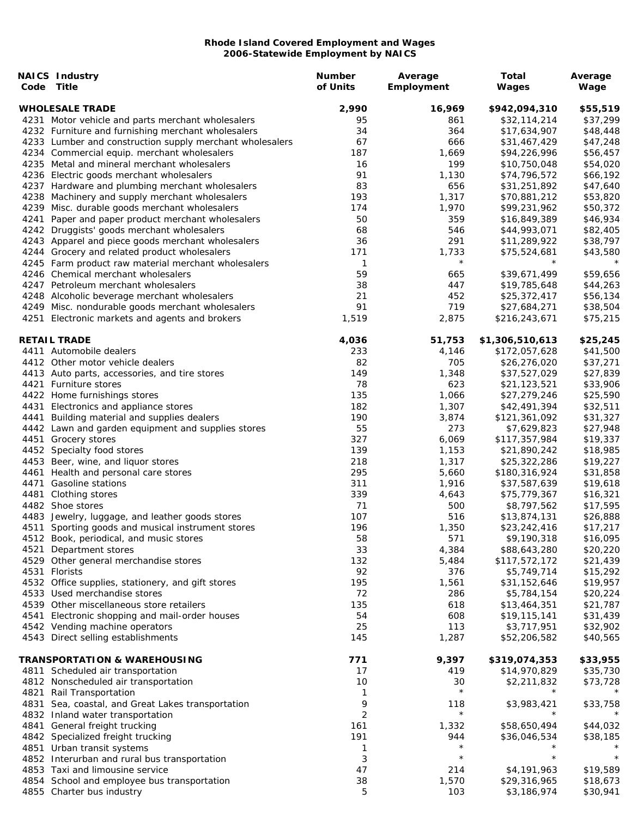|      | <b>NAICS Industry</b>                                    | <b>Number</b> | Average    | <b>Total</b>    | Average  |
|------|----------------------------------------------------------|---------------|------------|-----------------|----------|
| Code | Title                                                    | of Units      | Employment | Wages           | Wage     |
|      | <b>WHOLESALE TRADE</b>                                   | 2,990         | 16,969     | \$942,094,310   | \$55,519 |
|      | 4231 Motor vehicle and parts merchant wholesalers        | 95            | 861        | \$32,114,214    | \$37,299 |
|      | 4232 Furniture and furnishing merchant wholesalers       | 34            | 364        | \$17,634,907    | \$48,448 |
|      | 4233 Lumber and construction supply merchant wholesalers | 67            | 666        |                 |          |
|      |                                                          |               |            | \$31,467,429    | \$47,248 |
|      | 4234 Commercial equip. merchant wholesalers              | 187           | 1,669      | \$94,226,996    | \$56,457 |
|      | 4235 Metal and mineral merchant wholesalers              | 16            | 199        | \$10,750,048    | \$54,020 |
|      | 4236 Electric goods merchant wholesalers                 | 91            | 1,130      | \$74,796,572    | \$66,192 |
|      | 4237 Hardware and plumbing merchant wholesalers          | 83            | 656        | \$31,251,892    | \$47,640 |
|      | 4238 Machinery and supply merchant wholesalers           | 193           | 1,317      | \$70,881,212    | \$53,820 |
|      | 4239 Misc. durable goods merchant wholesalers            | 174           | 1,970      | \$99,231,962    | \$50,372 |
| 4241 | Paper and paper product merchant wholesalers             | 50            | 359        | \$16,849,389    | \$46,934 |
|      | 4242 Druggists' goods merchant wholesalers               | 68            | 546        | \$44,993,071    | \$82,405 |
|      | 4243 Apparel and piece goods merchant wholesalers        | 36            | 291        | \$11,289,922    | \$38,797 |
|      | 4244 Grocery and related product wholesalers             | 171           | 1,733      | \$75,524,681    | \$43,580 |
|      | 4245 Farm product raw material merchant wholesalers      | 1             | $\star$    | $^\star$        | $^\star$ |
|      | 4246 Chemical merchant wholesalers                       | 59            | 665        | \$39,671,499    | \$59,656 |
|      |                                                          |               |            |                 |          |
|      | 4247 Petroleum merchant wholesalers                      | 38            | 447        | \$19,785,648    | \$44,263 |
|      | 4248 Alcoholic beverage merchant wholesalers             | 21            | 452        | \$25,372,417    | \$56,134 |
|      | 4249 Misc. nondurable goods merchant wholesalers         | 91            | 719        | \$27,684,271    | \$38,504 |
|      | 4251 Electronic markets and agents and brokers           | 1,519         | 2,875      | \$216,243,671   | \$75,215 |
|      | <b>RETAIL TRADE</b>                                      | 4,036         | 51,753     | \$1,306,510,613 | \$25,245 |
|      | 4411 Automobile dealers                                  | 233           | 4,146      | \$172,057,628   | \$41,500 |
|      | 4412 Other motor vehicle dealers                         | 82            | 705        | \$26,276,020    | \$37,271 |
|      | 4413 Auto parts, accessories, and tire stores            | 149           | 1,348      | \$37,527,029    | \$27,839 |
|      | 4421 Furniture stores                                    | 78            | 623        | \$21,123,521    | \$33,906 |
|      | 4422 Home furnishings stores                             | 135           | 1,066      | \$27,279,246    | \$25,590 |
|      | 4431 Electronics and appliance stores                    | 182           | 1,307      | \$42,491,394    | \$32,511 |
|      |                                                          |               |            |                 |          |
| 4441 | Building material and supplies dealers                   | 190           | 3,874      | \$121,361,092   | \$31,327 |
|      | 4442 Lawn and garden equipment and supplies stores       | 55            | 273        | \$7,629,823     | \$27,948 |
|      | 4451 Grocery stores                                      | 327           | 6,069      | \$117,357,984   | \$19,337 |
|      | 4452 Specialty food stores                               | 139           | 1,153      | \$21,890,242    | \$18,985 |
|      | 4453 Beer, wine, and liquor stores                       | 218           | 1,317      | \$25,322,286    | \$19,227 |
| 4461 | Health and personal care stores                          | 295           | 5,660      | \$180,316,924   | \$31,858 |
| 4471 | Gasoline stations                                        | 311           | 1,916      | \$37,587,639    | \$19,618 |
| 4481 | Clothing stores                                          | 339           | 4,643      | \$75,779,367    | \$16,321 |
|      | 4482 Shoe stores                                         | 71            | 500        | \$8,797,562     | \$17,595 |
|      | 4483 Jewelry, luggage, and leather goods stores          | 107           | 516        | \$13,874,131    | \$26,888 |
|      | 4511 Sporting goods and musical instrument stores        | 196           | 1,350      | \$23,242,416    | \$17,217 |
|      | 4512 Book, periodical, and music stores                  | 58            | 571        | \$9,190,318     | \$16,095 |
| 4521 | Department stores                                        | 33            | 4,384      | \$88,643,280    | \$20,220 |
|      |                                                          |               |            |                 |          |
|      | 4529 Other general merchandise stores                    | 132           | 5,484      | \$117,572,172   | \$21,439 |
|      | 4531 Florists                                            | 92            | 376        | \$5,749,714     | \$15,292 |
|      | 4532 Office supplies, stationery, and gift stores        | 195           | 1,561      | \$31,152,646    | \$19,957 |
|      | 4533 Used merchandise stores                             | 72            | 286        | \$5,784,154     | \$20,224 |
|      | 4539 Other miscellaneous store retailers                 | 135           | 618        | \$13,464,351    | \$21,787 |
| 4541 | Electronic shopping and mail-order houses                | 54            | 608        | \$19,115,141    | \$31,439 |
|      | 4542 Vending machine operators                           | 25            | 113        | \$3,717,951     | \$32,902 |
|      | 4543 Direct selling establishments                       | 145           | 1,287      | \$52,206,582    | \$40,565 |
|      | <b>TRANSPORTATION &amp; WAREHOUSING</b>                  | 771           | 9,397      | \$319,074,353   | \$33,955 |
|      | 4811 Scheduled air transportation                        | 17            | 419        | \$14,970,829    | \$35,730 |
|      | 4812 Nonscheduled air transportation                     | 10            | 30         | \$2,211,832     | \$73,728 |
| 4821 | Rail Transportation                                      | 1             | $\star$    |                 |          |
| 4831 |                                                          | 9             | 118        |                 | \$33,758 |
|      | Sea, coastal, and Great Lakes transportation             |               | $\star$    | \$3,983,421     |          |
|      | 4832 Inland water transportation                         | 2             |            |                 |          |
| 4841 | General freight trucking                                 | 161           | 1,332      | \$58,650,494    | \$44,032 |
|      | 4842 Specialized freight trucking                        | 191           | 944        | \$36,046,534    | \$38,185 |
|      | 4851 Urban transit systems                               | 1             | $\star$    |                 |          |
|      | 4852 Interurban and rural bus transportation             | 3             | $\star$    | $^\star$        | $\star$  |
|      | 4853 Taxi and limousine service                          | 47            | 214        | \$4,191,963     | \$19,589 |
|      | 4854 School and employee bus transportation              | 38            | 1,570      | \$29,316,965    | \$18,673 |
|      | 4855 Charter bus industry                                | 5             | 103        | \$3,186,974     | \$30,941 |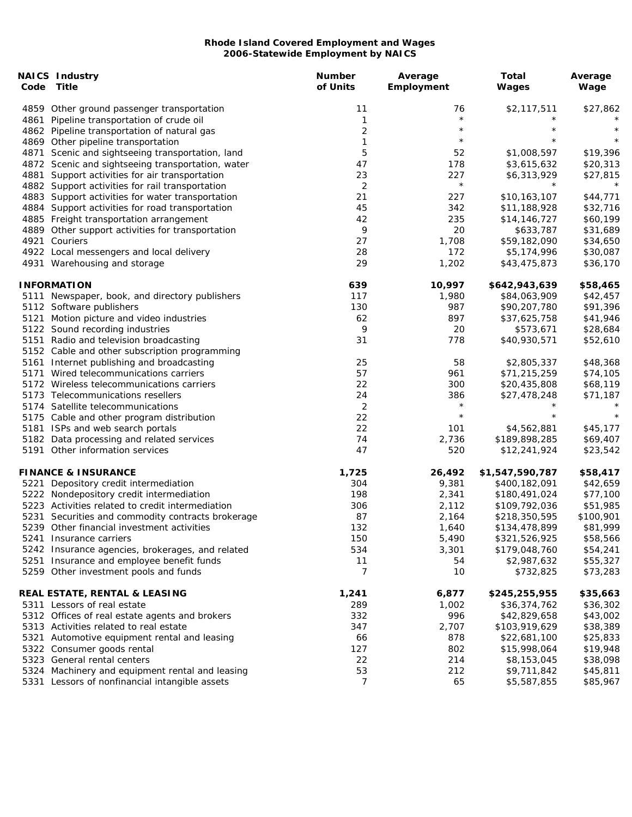| Code Title<br>\$27,862<br>4859 Other ground passenger transportation<br>11<br>76<br>\$2,117,511<br>$\star$<br>4861<br>Pipeline transportation of crude oil<br>1<br>$\overline{c}$<br>$\star$<br>$^\star$<br>$\star$<br>4862 Pipeline transportation of natural gas<br>$\star$<br>$\star$<br>$^\star$<br>1<br>4869 Other pipeline transportation<br>5<br>\$1,008,597<br>\$19,396<br>4871<br>Scenic and sightseeing transportation, land<br>52<br>47<br>4872 Scenic and sightseeing transportation, water<br>178<br>\$3,615,632<br>\$20,313<br>23<br>227<br>4881<br>Support activities for air transportation<br>\$6,313,929<br>\$27,815<br>$\star$<br>$\star$<br>$\star$<br>4882 Support activities for rail transportation<br>2<br>4883 Support activities for water transportation<br>21<br>227<br>\$10,163,107<br>\$44,771<br>342<br>\$32,716<br>4884 Support activities for road transportation<br>45<br>\$11,188,928<br>42<br>235<br>4885 Freight transportation arrangement<br>\$14,146,727<br>\$60,199<br>9<br>20<br>\$31,689<br>4889 Other support activities for transportation<br>\$633,787<br>4921<br>27<br>1,708<br>\$59,182,090<br>Couriers<br>\$34,650<br>28<br>172<br>4922 Local messengers and local delivery<br>\$5,174,996<br>\$30,087<br>29<br>1,202<br>\$36,170<br>4931 Warehousing and storage<br>\$43,475,873<br><b>INFORMATION</b><br>639<br>10,997<br>\$642,943,639<br>\$58,465<br>1,980<br>\$42,457<br>5111 Newspaper, book, and directory publishers<br>117<br>\$84,063,909<br>130<br>987<br>\$91,396<br>5112 Software publishers<br>\$90,207,780<br>897<br>5121 Motion picture and video industries<br>62<br>\$41,946<br>\$37,625,758<br>9<br>20<br>\$28,684<br>5122 Sound recording industries<br>\$573,671<br>31<br>778<br>\$52,610<br>5151 Radio and television broadcasting<br>\$40,930,571<br>5152 Cable and other subscription programming<br>25<br>58<br>5161 Internet publishing and broadcasting<br>\$2,805,337<br>\$48,368<br>57<br>961<br>5171 Wired telecommunications carriers<br>\$71,215,259<br>\$74,105<br>22<br>300<br>\$20,435,808<br>\$68,119<br>5172 Wireless telecommunications carriers<br>24<br>386<br>\$27,478,248<br>\$71,187<br>5173 Telecommunications resellers<br>$\star$<br>$^\star$<br>$\overline{2}$<br>5174 Satellite telecommunications<br>$\star$<br>$^\star$<br>$^{\star}$<br>22<br>5175 Cable and other program distribution<br>22<br>101<br>\$4,562,881<br>5181 ISPs and web search portals<br>\$45,177<br>74<br>5182 Data processing and related services<br>2,736<br>\$189,898,285<br>\$69,407<br>5191 Other information services<br>47<br>520<br>\$23,542<br>\$12,241,924<br>1,725<br><b>FINANCE &amp; INSURANCE</b><br>26,492<br>\$1,547,590,787<br>\$58,417<br>304<br>9,381<br>\$42,659<br>5221 Depository credit intermediation<br>\$400,182,091<br>198<br>\$77,100<br>5222 Nondepository credit intermediation<br>2,341<br>\$180,491,024<br>5223 Activities related to credit intermediation<br>306<br>2,112<br>\$109,792,036<br>\$51,985<br>5231 Securities and commodity contracts brokerage<br>87<br>2,164<br>\$218,350,595<br>\$100,901<br>132<br>\$81,999<br>5239 Other financial investment activities<br>1,640<br>\$134,478,899<br>150<br>5,490<br>\$58,566<br>5241 Insurance carriers<br>\$321,526,925<br>534<br>3,301<br>5242 Insurance agencies, brokerages, and related<br>\$179,048,760<br>\$54,241<br>5251 Insurance and employee benefit funds<br>11<br>\$55,327<br>54<br>\$2,987,632<br>5259 Other investment pools and funds<br>7<br>10<br>\$73,283<br>\$732,825<br><b>REAL ESTATE, RENTAL &amp; LEASING</b><br>1,241<br>6,877<br>\$245,255,955<br>\$35,663<br>289<br>1,002<br>5311 Lessors of real estate<br>\$36,374,762<br>\$36,302<br>332<br>996<br>5312 Offices of real estate agents and brokers<br>\$42,829,658<br>\$43,002<br>347<br>2,707<br>5313 Activities related to real estate<br>\$103,919,629<br>\$38,389<br>66<br>878<br>\$25,833<br>5321 Automotive equipment rental and leasing<br>\$22,681,100<br>127<br>802<br>\$19,948<br>5322 Consumer goods rental<br>\$15,998,064<br>22<br>214<br>\$38,098<br>5323 General rental centers<br>\$8,153,045<br>53<br>212<br>\$45,811<br>5324 Machinery and equipment rental and leasing<br>\$9,711,842<br>7<br>5331 Lessors of nonfinancial intangible assets<br>65<br>\$85,967<br>\$5,587,855 | <b>NAICS Industry</b> | <b>Number</b> | Average    | <b>Total</b> | Average |
|---------------------------------------------------------------------------------------------------------------------------------------------------------------------------------------------------------------------------------------------------------------------------------------------------------------------------------------------------------------------------------------------------------------------------------------------------------------------------------------------------------------------------------------------------------------------------------------------------------------------------------------------------------------------------------------------------------------------------------------------------------------------------------------------------------------------------------------------------------------------------------------------------------------------------------------------------------------------------------------------------------------------------------------------------------------------------------------------------------------------------------------------------------------------------------------------------------------------------------------------------------------------------------------------------------------------------------------------------------------------------------------------------------------------------------------------------------------------------------------------------------------------------------------------------------------------------------------------------------------------------------------------------------------------------------------------------------------------------------------------------------------------------------------------------------------------------------------------------------------------------------------------------------------------------------------------------------------------------------------------------------------------------------------------------------------------------------------------------------------------------------------------------------------------------------------------------------------------------------------------------------------------------------------------------------------------------------------------------------------------------------------------------------------------------------------------------------------------------------------------------------------------------------------------------------------------------------------------------------------------------------------------------------------------------------------------------------------------------------------------------------------------------------------------------------------------------------------------------------------------------------------------------------------------------------------------------------------------------------------------------------------------------------------------------------------------------------------------------------------------------------------------------------------------------------------------------------------------------------------------------------------------------------------------------------------------------------------------------------------------------------------------------------------------------------------------------------------------------------------------------------------------------------------------------------------------------------------------------------------------------------------------------------------------------------------------------------------------------------------------------------------------------------------------------------------------------------------------------------------------------------------------------------------------------------------------------------------------------------------------------------------------------------------------------------------------------------------------------------------------------------------------------------------------------------------------------------------------------------------------------------------------------------------------------------------------------------------------|-----------------------|---------------|------------|--------------|---------|
|                                                                                                                                                                                                                                                                                                                                                                                                                                                                                                                                                                                                                                                                                                                                                                                                                                                                                                                                                                                                                                                                                                                                                                                                                                                                                                                                                                                                                                                                                                                                                                                                                                                                                                                                                                                                                                                                                                                                                                                                                                                                                                                                                                                                                                                                                                                                                                                                                                                                                                                                                                                                                                                                                                                                                                                                                                                                                                                                                                                                                                                                                                                                                                                                                                                                                                                                                                                                                                                                                                                                                                                                                                                                                                                                                                                                                                                                                                                                                                                                                                                                                                                                                                                                                                                                                                                                             |                       | of Units      | Employment | Wages        | Wage    |
|                                                                                                                                                                                                                                                                                                                                                                                                                                                                                                                                                                                                                                                                                                                                                                                                                                                                                                                                                                                                                                                                                                                                                                                                                                                                                                                                                                                                                                                                                                                                                                                                                                                                                                                                                                                                                                                                                                                                                                                                                                                                                                                                                                                                                                                                                                                                                                                                                                                                                                                                                                                                                                                                                                                                                                                                                                                                                                                                                                                                                                                                                                                                                                                                                                                                                                                                                                                                                                                                                                                                                                                                                                                                                                                                                                                                                                                                                                                                                                                                                                                                                                                                                                                                                                                                                                                                             |                       |               |            |              |         |
|                                                                                                                                                                                                                                                                                                                                                                                                                                                                                                                                                                                                                                                                                                                                                                                                                                                                                                                                                                                                                                                                                                                                                                                                                                                                                                                                                                                                                                                                                                                                                                                                                                                                                                                                                                                                                                                                                                                                                                                                                                                                                                                                                                                                                                                                                                                                                                                                                                                                                                                                                                                                                                                                                                                                                                                                                                                                                                                                                                                                                                                                                                                                                                                                                                                                                                                                                                                                                                                                                                                                                                                                                                                                                                                                                                                                                                                                                                                                                                                                                                                                                                                                                                                                                                                                                                                                             |                       |               |            |              |         |
|                                                                                                                                                                                                                                                                                                                                                                                                                                                                                                                                                                                                                                                                                                                                                                                                                                                                                                                                                                                                                                                                                                                                                                                                                                                                                                                                                                                                                                                                                                                                                                                                                                                                                                                                                                                                                                                                                                                                                                                                                                                                                                                                                                                                                                                                                                                                                                                                                                                                                                                                                                                                                                                                                                                                                                                                                                                                                                                                                                                                                                                                                                                                                                                                                                                                                                                                                                                                                                                                                                                                                                                                                                                                                                                                                                                                                                                                                                                                                                                                                                                                                                                                                                                                                                                                                                                                             |                       |               |            |              |         |
|                                                                                                                                                                                                                                                                                                                                                                                                                                                                                                                                                                                                                                                                                                                                                                                                                                                                                                                                                                                                                                                                                                                                                                                                                                                                                                                                                                                                                                                                                                                                                                                                                                                                                                                                                                                                                                                                                                                                                                                                                                                                                                                                                                                                                                                                                                                                                                                                                                                                                                                                                                                                                                                                                                                                                                                                                                                                                                                                                                                                                                                                                                                                                                                                                                                                                                                                                                                                                                                                                                                                                                                                                                                                                                                                                                                                                                                                                                                                                                                                                                                                                                                                                                                                                                                                                                                                             |                       |               |            |              |         |
|                                                                                                                                                                                                                                                                                                                                                                                                                                                                                                                                                                                                                                                                                                                                                                                                                                                                                                                                                                                                                                                                                                                                                                                                                                                                                                                                                                                                                                                                                                                                                                                                                                                                                                                                                                                                                                                                                                                                                                                                                                                                                                                                                                                                                                                                                                                                                                                                                                                                                                                                                                                                                                                                                                                                                                                                                                                                                                                                                                                                                                                                                                                                                                                                                                                                                                                                                                                                                                                                                                                                                                                                                                                                                                                                                                                                                                                                                                                                                                                                                                                                                                                                                                                                                                                                                                                                             |                       |               |            |              |         |
|                                                                                                                                                                                                                                                                                                                                                                                                                                                                                                                                                                                                                                                                                                                                                                                                                                                                                                                                                                                                                                                                                                                                                                                                                                                                                                                                                                                                                                                                                                                                                                                                                                                                                                                                                                                                                                                                                                                                                                                                                                                                                                                                                                                                                                                                                                                                                                                                                                                                                                                                                                                                                                                                                                                                                                                                                                                                                                                                                                                                                                                                                                                                                                                                                                                                                                                                                                                                                                                                                                                                                                                                                                                                                                                                                                                                                                                                                                                                                                                                                                                                                                                                                                                                                                                                                                                                             |                       |               |            |              |         |
|                                                                                                                                                                                                                                                                                                                                                                                                                                                                                                                                                                                                                                                                                                                                                                                                                                                                                                                                                                                                                                                                                                                                                                                                                                                                                                                                                                                                                                                                                                                                                                                                                                                                                                                                                                                                                                                                                                                                                                                                                                                                                                                                                                                                                                                                                                                                                                                                                                                                                                                                                                                                                                                                                                                                                                                                                                                                                                                                                                                                                                                                                                                                                                                                                                                                                                                                                                                                                                                                                                                                                                                                                                                                                                                                                                                                                                                                                                                                                                                                                                                                                                                                                                                                                                                                                                                                             |                       |               |            |              |         |
|                                                                                                                                                                                                                                                                                                                                                                                                                                                                                                                                                                                                                                                                                                                                                                                                                                                                                                                                                                                                                                                                                                                                                                                                                                                                                                                                                                                                                                                                                                                                                                                                                                                                                                                                                                                                                                                                                                                                                                                                                                                                                                                                                                                                                                                                                                                                                                                                                                                                                                                                                                                                                                                                                                                                                                                                                                                                                                                                                                                                                                                                                                                                                                                                                                                                                                                                                                                                                                                                                                                                                                                                                                                                                                                                                                                                                                                                                                                                                                                                                                                                                                                                                                                                                                                                                                                                             |                       |               |            |              |         |
|                                                                                                                                                                                                                                                                                                                                                                                                                                                                                                                                                                                                                                                                                                                                                                                                                                                                                                                                                                                                                                                                                                                                                                                                                                                                                                                                                                                                                                                                                                                                                                                                                                                                                                                                                                                                                                                                                                                                                                                                                                                                                                                                                                                                                                                                                                                                                                                                                                                                                                                                                                                                                                                                                                                                                                                                                                                                                                                                                                                                                                                                                                                                                                                                                                                                                                                                                                                                                                                                                                                                                                                                                                                                                                                                                                                                                                                                                                                                                                                                                                                                                                                                                                                                                                                                                                                                             |                       |               |            |              |         |
|                                                                                                                                                                                                                                                                                                                                                                                                                                                                                                                                                                                                                                                                                                                                                                                                                                                                                                                                                                                                                                                                                                                                                                                                                                                                                                                                                                                                                                                                                                                                                                                                                                                                                                                                                                                                                                                                                                                                                                                                                                                                                                                                                                                                                                                                                                                                                                                                                                                                                                                                                                                                                                                                                                                                                                                                                                                                                                                                                                                                                                                                                                                                                                                                                                                                                                                                                                                                                                                                                                                                                                                                                                                                                                                                                                                                                                                                                                                                                                                                                                                                                                                                                                                                                                                                                                                                             |                       |               |            |              |         |
|                                                                                                                                                                                                                                                                                                                                                                                                                                                                                                                                                                                                                                                                                                                                                                                                                                                                                                                                                                                                                                                                                                                                                                                                                                                                                                                                                                                                                                                                                                                                                                                                                                                                                                                                                                                                                                                                                                                                                                                                                                                                                                                                                                                                                                                                                                                                                                                                                                                                                                                                                                                                                                                                                                                                                                                                                                                                                                                                                                                                                                                                                                                                                                                                                                                                                                                                                                                                                                                                                                                                                                                                                                                                                                                                                                                                                                                                                                                                                                                                                                                                                                                                                                                                                                                                                                                                             |                       |               |            |              |         |
|                                                                                                                                                                                                                                                                                                                                                                                                                                                                                                                                                                                                                                                                                                                                                                                                                                                                                                                                                                                                                                                                                                                                                                                                                                                                                                                                                                                                                                                                                                                                                                                                                                                                                                                                                                                                                                                                                                                                                                                                                                                                                                                                                                                                                                                                                                                                                                                                                                                                                                                                                                                                                                                                                                                                                                                                                                                                                                                                                                                                                                                                                                                                                                                                                                                                                                                                                                                                                                                                                                                                                                                                                                                                                                                                                                                                                                                                                                                                                                                                                                                                                                                                                                                                                                                                                                                                             |                       |               |            |              |         |
|                                                                                                                                                                                                                                                                                                                                                                                                                                                                                                                                                                                                                                                                                                                                                                                                                                                                                                                                                                                                                                                                                                                                                                                                                                                                                                                                                                                                                                                                                                                                                                                                                                                                                                                                                                                                                                                                                                                                                                                                                                                                                                                                                                                                                                                                                                                                                                                                                                                                                                                                                                                                                                                                                                                                                                                                                                                                                                                                                                                                                                                                                                                                                                                                                                                                                                                                                                                                                                                                                                                                                                                                                                                                                                                                                                                                                                                                                                                                                                                                                                                                                                                                                                                                                                                                                                                                             |                       |               |            |              |         |
|                                                                                                                                                                                                                                                                                                                                                                                                                                                                                                                                                                                                                                                                                                                                                                                                                                                                                                                                                                                                                                                                                                                                                                                                                                                                                                                                                                                                                                                                                                                                                                                                                                                                                                                                                                                                                                                                                                                                                                                                                                                                                                                                                                                                                                                                                                                                                                                                                                                                                                                                                                                                                                                                                                                                                                                                                                                                                                                                                                                                                                                                                                                                                                                                                                                                                                                                                                                                                                                                                                                                                                                                                                                                                                                                                                                                                                                                                                                                                                                                                                                                                                                                                                                                                                                                                                                                             |                       |               |            |              |         |
|                                                                                                                                                                                                                                                                                                                                                                                                                                                                                                                                                                                                                                                                                                                                                                                                                                                                                                                                                                                                                                                                                                                                                                                                                                                                                                                                                                                                                                                                                                                                                                                                                                                                                                                                                                                                                                                                                                                                                                                                                                                                                                                                                                                                                                                                                                                                                                                                                                                                                                                                                                                                                                                                                                                                                                                                                                                                                                                                                                                                                                                                                                                                                                                                                                                                                                                                                                                                                                                                                                                                                                                                                                                                                                                                                                                                                                                                                                                                                                                                                                                                                                                                                                                                                                                                                                                                             |                       |               |            |              |         |
|                                                                                                                                                                                                                                                                                                                                                                                                                                                                                                                                                                                                                                                                                                                                                                                                                                                                                                                                                                                                                                                                                                                                                                                                                                                                                                                                                                                                                                                                                                                                                                                                                                                                                                                                                                                                                                                                                                                                                                                                                                                                                                                                                                                                                                                                                                                                                                                                                                                                                                                                                                                                                                                                                                                                                                                                                                                                                                                                                                                                                                                                                                                                                                                                                                                                                                                                                                                                                                                                                                                                                                                                                                                                                                                                                                                                                                                                                                                                                                                                                                                                                                                                                                                                                                                                                                                                             |                       |               |            |              |         |
|                                                                                                                                                                                                                                                                                                                                                                                                                                                                                                                                                                                                                                                                                                                                                                                                                                                                                                                                                                                                                                                                                                                                                                                                                                                                                                                                                                                                                                                                                                                                                                                                                                                                                                                                                                                                                                                                                                                                                                                                                                                                                                                                                                                                                                                                                                                                                                                                                                                                                                                                                                                                                                                                                                                                                                                                                                                                                                                                                                                                                                                                                                                                                                                                                                                                                                                                                                                                                                                                                                                                                                                                                                                                                                                                                                                                                                                                                                                                                                                                                                                                                                                                                                                                                                                                                                                                             |                       |               |            |              |         |
|                                                                                                                                                                                                                                                                                                                                                                                                                                                                                                                                                                                                                                                                                                                                                                                                                                                                                                                                                                                                                                                                                                                                                                                                                                                                                                                                                                                                                                                                                                                                                                                                                                                                                                                                                                                                                                                                                                                                                                                                                                                                                                                                                                                                                                                                                                                                                                                                                                                                                                                                                                                                                                                                                                                                                                                                                                                                                                                                                                                                                                                                                                                                                                                                                                                                                                                                                                                                                                                                                                                                                                                                                                                                                                                                                                                                                                                                                                                                                                                                                                                                                                                                                                                                                                                                                                                                             |                       |               |            |              |         |
|                                                                                                                                                                                                                                                                                                                                                                                                                                                                                                                                                                                                                                                                                                                                                                                                                                                                                                                                                                                                                                                                                                                                                                                                                                                                                                                                                                                                                                                                                                                                                                                                                                                                                                                                                                                                                                                                                                                                                                                                                                                                                                                                                                                                                                                                                                                                                                                                                                                                                                                                                                                                                                                                                                                                                                                                                                                                                                                                                                                                                                                                                                                                                                                                                                                                                                                                                                                                                                                                                                                                                                                                                                                                                                                                                                                                                                                                                                                                                                                                                                                                                                                                                                                                                                                                                                                                             |                       |               |            |              |         |
|                                                                                                                                                                                                                                                                                                                                                                                                                                                                                                                                                                                                                                                                                                                                                                                                                                                                                                                                                                                                                                                                                                                                                                                                                                                                                                                                                                                                                                                                                                                                                                                                                                                                                                                                                                                                                                                                                                                                                                                                                                                                                                                                                                                                                                                                                                                                                                                                                                                                                                                                                                                                                                                                                                                                                                                                                                                                                                                                                                                                                                                                                                                                                                                                                                                                                                                                                                                                                                                                                                                                                                                                                                                                                                                                                                                                                                                                                                                                                                                                                                                                                                                                                                                                                                                                                                                                             |                       |               |            |              |         |
|                                                                                                                                                                                                                                                                                                                                                                                                                                                                                                                                                                                                                                                                                                                                                                                                                                                                                                                                                                                                                                                                                                                                                                                                                                                                                                                                                                                                                                                                                                                                                                                                                                                                                                                                                                                                                                                                                                                                                                                                                                                                                                                                                                                                                                                                                                                                                                                                                                                                                                                                                                                                                                                                                                                                                                                                                                                                                                                                                                                                                                                                                                                                                                                                                                                                                                                                                                                                                                                                                                                                                                                                                                                                                                                                                                                                                                                                                                                                                                                                                                                                                                                                                                                                                                                                                                                                             |                       |               |            |              |         |
|                                                                                                                                                                                                                                                                                                                                                                                                                                                                                                                                                                                                                                                                                                                                                                                                                                                                                                                                                                                                                                                                                                                                                                                                                                                                                                                                                                                                                                                                                                                                                                                                                                                                                                                                                                                                                                                                                                                                                                                                                                                                                                                                                                                                                                                                                                                                                                                                                                                                                                                                                                                                                                                                                                                                                                                                                                                                                                                                                                                                                                                                                                                                                                                                                                                                                                                                                                                                                                                                                                                                                                                                                                                                                                                                                                                                                                                                                                                                                                                                                                                                                                                                                                                                                                                                                                                                             |                       |               |            |              |         |
|                                                                                                                                                                                                                                                                                                                                                                                                                                                                                                                                                                                                                                                                                                                                                                                                                                                                                                                                                                                                                                                                                                                                                                                                                                                                                                                                                                                                                                                                                                                                                                                                                                                                                                                                                                                                                                                                                                                                                                                                                                                                                                                                                                                                                                                                                                                                                                                                                                                                                                                                                                                                                                                                                                                                                                                                                                                                                                                                                                                                                                                                                                                                                                                                                                                                                                                                                                                                                                                                                                                                                                                                                                                                                                                                                                                                                                                                                                                                                                                                                                                                                                                                                                                                                                                                                                                                             |                       |               |            |              |         |
|                                                                                                                                                                                                                                                                                                                                                                                                                                                                                                                                                                                                                                                                                                                                                                                                                                                                                                                                                                                                                                                                                                                                                                                                                                                                                                                                                                                                                                                                                                                                                                                                                                                                                                                                                                                                                                                                                                                                                                                                                                                                                                                                                                                                                                                                                                                                                                                                                                                                                                                                                                                                                                                                                                                                                                                                                                                                                                                                                                                                                                                                                                                                                                                                                                                                                                                                                                                                                                                                                                                                                                                                                                                                                                                                                                                                                                                                                                                                                                                                                                                                                                                                                                                                                                                                                                                                             |                       |               |            |              |         |
|                                                                                                                                                                                                                                                                                                                                                                                                                                                                                                                                                                                                                                                                                                                                                                                                                                                                                                                                                                                                                                                                                                                                                                                                                                                                                                                                                                                                                                                                                                                                                                                                                                                                                                                                                                                                                                                                                                                                                                                                                                                                                                                                                                                                                                                                                                                                                                                                                                                                                                                                                                                                                                                                                                                                                                                                                                                                                                                                                                                                                                                                                                                                                                                                                                                                                                                                                                                                                                                                                                                                                                                                                                                                                                                                                                                                                                                                                                                                                                                                                                                                                                                                                                                                                                                                                                                                             |                       |               |            |              |         |
|                                                                                                                                                                                                                                                                                                                                                                                                                                                                                                                                                                                                                                                                                                                                                                                                                                                                                                                                                                                                                                                                                                                                                                                                                                                                                                                                                                                                                                                                                                                                                                                                                                                                                                                                                                                                                                                                                                                                                                                                                                                                                                                                                                                                                                                                                                                                                                                                                                                                                                                                                                                                                                                                                                                                                                                                                                                                                                                                                                                                                                                                                                                                                                                                                                                                                                                                                                                                                                                                                                                                                                                                                                                                                                                                                                                                                                                                                                                                                                                                                                                                                                                                                                                                                                                                                                                                             |                       |               |            |              |         |
|                                                                                                                                                                                                                                                                                                                                                                                                                                                                                                                                                                                                                                                                                                                                                                                                                                                                                                                                                                                                                                                                                                                                                                                                                                                                                                                                                                                                                                                                                                                                                                                                                                                                                                                                                                                                                                                                                                                                                                                                                                                                                                                                                                                                                                                                                                                                                                                                                                                                                                                                                                                                                                                                                                                                                                                                                                                                                                                                                                                                                                                                                                                                                                                                                                                                                                                                                                                                                                                                                                                                                                                                                                                                                                                                                                                                                                                                                                                                                                                                                                                                                                                                                                                                                                                                                                                                             |                       |               |            |              |         |
|                                                                                                                                                                                                                                                                                                                                                                                                                                                                                                                                                                                                                                                                                                                                                                                                                                                                                                                                                                                                                                                                                                                                                                                                                                                                                                                                                                                                                                                                                                                                                                                                                                                                                                                                                                                                                                                                                                                                                                                                                                                                                                                                                                                                                                                                                                                                                                                                                                                                                                                                                                                                                                                                                                                                                                                                                                                                                                                                                                                                                                                                                                                                                                                                                                                                                                                                                                                                                                                                                                                                                                                                                                                                                                                                                                                                                                                                                                                                                                                                                                                                                                                                                                                                                                                                                                                                             |                       |               |            |              |         |
|                                                                                                                                                                                                                                                                                                                                                                                                                                                                                                                                                                                                                                                                                                                                                                                                                                                                                                                                                                                                                                                                                                                                                                                                                                                                                                                                                                                                                                                                                                                                                                                                                                                                                                                                                                                                                                                                                                                                                                                                                                                                                                                                                                                                                                                                                                                                                                                                                                                                                                                                                                                                                                                                                                                                                                                                                                                                                                                                                                                                                                                                                                                                                                                                                                                                                                                                                                                                                                                                                                                                                                                                                                                                                                                                                                                                                                                                                                                                                                                                                                                                                                                                                                                                                                                                                                                                             |                       |               |            |              |         |
|                                                                                                                                                                                                                                                                                                                                                                                                                                                                                                                                                                                                                                                                                                                                                                                                                                                                                                                                                                                                                                                                                                                                                                                                                                                                                                                                                                                                                                                                                                                                                                                                                                                                                                                                                                                                                                                                                                                                                                                                                                                                                                                                                                                                                                                                                                                                                                                                                                                                                                                                                                                                                                                                                                                                                                                                                                                                                                                                                                                                                                                                                                                                                                                                                                                                                                                                                                                                                                                                                                                                                                                                                                                                                                                                                                                                                                                                                                                                                                                                                                                                                                                                                                                                                                                                                                                                             |                       |               |            |              |         |
|                                                                                                                                                                                                                                                                                                                                                                                                                                                                                                                                                                                                                                                                                                                                                                                                                                                                                                                                                                                                                                                                                                                                                                                                                                                                                                                                                                                                                                                                                                                                                                                                                                                                                                                                                                                                                                                                                                                                                                                                                                                                                                                                                                                                                                                                                                                                                                                                                                                                                                                                                                                                                                                                                                                                                                                                                                                                                                                                                                                                                                                                                                                                                                                                                                                                                                                                                                                                                                                                                                                                                                                                                                                                                                                                                                                                                                                                                                                                                                                                                                                                                                                                                                                                                                                                                                                                             |                       |               |            |              |         |
|                                                                                                                                                                                                                                                                                                                                                                                                                                                                                                                                                                                                                                                                                                                                                                                                                                                                                                                                                                                                                                                                                                                                                                                                                                                                                                                                                                                                                                                                                                                                                                                                                                                                                                                                                                                                                                                                                                                                                                                                                                                                                                                                                                                                                                                                                                                                                                                                                                                                                                                                                                                                                                                                                                                                                                                                                                                                                                                                                                                                                                                                                                                                                                                                                                                                                                                                                                                                                                                                                                                                                                                                                                                                                                                                                                                                                                                                                                                                                                                                                                                                                                                                                                                                                                                                                                                                             |                       |               |            |              |         |
|                                                                                                                                                                                                                                                                                                                                                                                                                                                                                                                                                                                                                                                                                                                                                                                                                                                                                                                                                                                                                                                                                                                                                                                                                                                                                                                                                                                                                                                                                                                                                                                                                                                                                                                                                                                                                                                                                                                                                                                                                                                                                                                                                                                                                                                                                                                                                                                                                                                                                                                                                                                                                                                                                                                                                                                                                                                                                                                                                                                                                                                                                                                                                                                                                                                                                                                                                                                                                                                                                                                                                                                                                                                                                                                                                                                                                                                                                                                                                                                                                                                                                                                                                                                                                                                                                                                                             |                       |               |            |              |         |
|                                                                                                                                                                                                                                                                                                                                                                                                                                                                                                                                                                                                                                                                                                                                                                                                                                                                                                                                                                                                                                                                                                                                                                                                                                                                                                                                                                                                                                                                                                                                                                                                                                                                                                                                                                                                                                                                                                                                                                                                                                                                                                                                                                                                                                                                                                                                                                                                                                                                                                                                                                                                                                                                                                                                                                                                                                                                                                                                                                                                                                                                                                                                                                                                                                                                                                                                                                                                                                                                                                                                                                                                                                                                                                                                                                                                                                                                                                                                                                                                                                                                                                                                                                                                                                                                                                                                             |                       |               |            |              |         |
|                                                                                                                                                                                                                                                                                                                                                                                                                                                                                                                                                                                                                                                                                                                                                                                                                                                                                                                                                                                                                                                                                                                                                                                                                                                                                                                                                                                                                                                                                                                                                                                                                                                                                                                                                                                                                                                                                                                                                                                                                                                                                                                                                                                                                                                                                                                                                                                                                                                                                                                                                                                                                                                                                                                                                                                                                                                                                                                                                                                                                                                                                                                                                                                                                                                                                                                                                                                                                                                                                                                                                                                                                                                                                                                                                                                                                                                                                                                                                                                                                                                                                                                                                                                                                                                                                                                                             |                       |               |            |              |         |
|                                                                                                                                                                                                                                                                                                                                                                                                                                                                                                                                                                                                                                                                                                                                                                                                                                                                                                                                                                                                                                                                                                                                                                                                                                                                                                                                                                                                                                                                                                                                                                                                                                                                                                                                                                                                                                                                                                                                                                                                                                                                                                                                                                                                                                                                                                                                                                                                                                                                                                                                                                                                                                                                                                                                                                                                                                                                                                                                                                                                                                                                                                                                                                                                                                                                                                                                                                                                                                                                                                                                                                                                                                                                                                                                                                                                                                                                                                                                                                                                                                                                                                                                                                                                                                                                                                                                             |                       |               |            |              |         |
|                                                                                                                                                                                                                                                                                                                                                                                                                                                                                                                                                                                                                                                                                                                                                                                                                                                                                                                                                                                                                                                                                                                                                                                                                                                                                                                                                                                                                                                                                                                                                                                                                                                                                                                                                                                                                                                                                                                                                                                                                                                                                                                                                                                                                                                                                                                                                                                                                                                                                                                                                                                                                                                                                                                                                                                                                                                                                                                                                                                                                                                                                                                                                                                                                                                                                                                                                                                                                                                                                                                                                                                                                                                                                                                                                                                                                                                                                                                                                                                                                                                                                                                                                                                                                                                                                                                                             |                       |               |            |              |         |
|                                                                                                                                                                                                                                                                                                                                                                                                                                                                                                                                                                                                                                                                                                                                                                                                                                                                                                                                                                                                                                                                                                                                                                                                                                                                                                                                                                                                                                                                                                                                                                                                                                                                                                                                                                                                                                                                                                                                                                                                                                                                                                                                                                                                                                                                                                                                                                                                                                                                                                                                                                                                                                                                                                                                                                                                                                                                                                                                                                                                                                                                                                                                                                                                                                                                                                                                                                                                                                                                                                                                                                                                                                                                                                                                                                                                                                                                                                                                                                                                                                                                                                                                                                                                                                                                                                                                             |                       |               |            |              |         |
|                                                                                                                                                                                                                                                                                                                                                                                                                                                                                                                                                                                                                                                                                                                                                                                                                                                                                                                                                                                                                                                                                                                                                                                                                                                                                                                                                                                                                                                                                                                                                                                                                                                                                                                                                                                                                                                                                                                                                                                                                                                                                                                                                                                                                                                                                                                                                                                                                                                                                                                                                                                                                                                                                                                                                                                                                                                                                                                                                                                                                                                                                                                                                                                                                                                                                                                                                                                                                                                                                                                                                                                                                                                                                                                                                                                                                                                                                                                                                                                                                                                                                                                                                                                                                                                                                                                                             |                       |               |            |              |         |
|                                                                                                                                                                                                                                                                                                                                                                                                                                                                                                                                                                                                                                                                                                                                                                                                                                                                                                                                                                                                                                                                                                                                                                                                                                                                                                                                                                                                                                                                                                                                                                                                                                                                                                                                                                                                                                                                                                                                                                                                                                                                                                                                                                                                                                                                                                                                                                                                                                                                                                                                                                                                                                                                                                                                                                                                                                                                                                                                                                                                                                                                                                                                                                                                                                                                                                                                                                                                                                                                                                                                                                                                                                                                                                                                                                                                                                                                                                                                                                                                                                                                                                                                                                                                                                                                                                                                             |                       |               |            |              |         |
|                                                                                                                                                                                                                                                                                                                                                                                                                                                                                                                                                                                                                                                                                                                                                                                                                                                                                                                                                                                                                                                                                                                                                                                                                                                                                                                                                                                                                                                                                                                                                                                                                                                                                                                                                                                                                                                                                                                                                                                                                                                                                                                                                                                                                                                                                                                                                                                                                                                                                                                                                                                                                                                                                                                                                                                                                                                                                                                                                                                                                                                                                                                                                                                                                                                                                                                                                                                                                                                                                                                                                                                                                                                                                                                                                                                                                                                                                                                                                                                                                                                                                                                                                                                                                                                                                                                                             |                       |               |            |              |         |
|                                                                                                                                                                                                                                                                                                                                                                                                                                                                                                                                                                                                                                                                                                                                                                                                                                                                                                                                                                                                                                                                                                                                                                                                                                                                                                                                                                                                                                                                                                                                                                                                                                                                                                                                                                                                                                                                                                                                                                                                                                                                                                                                                                                                                                                                                                                                                                                                                                                                                                                                                                                                                                                                                                                                                                                                                                                                                                                                                                                                                                                                                                                                                                                                                                                                                                                                                                                                                                                                                                                                                                                                                                                                                                                                                                                                                                                                                                                                                                                                                                                                                                                                                                                                                                                                                                                                             |                       |               |            |              |         |
|                                                                                                                                                                                                                                                                                                                                                                                                                                                                                                                                                                                                                                                                                                                                                                                                                                                                                                                                                                                                                                                                                                                                                                                                                                                                                                                                                                                                                                                                                                                                                                                                                                                                                                                                                                                                                                                                                                                                                                                                                                                                                                                                                                                                                                                                                                                                                                                                                                                                                                                                                                                                                                                                                                                                                                                                                                                                                                                                                                                                                                                                                                                                                                                                                                                                                                                                                                                                                                                                                                                                                                                                                                                                                                                                                                                                                                                                                                                                                                                                                                                                                                                                                                                                                                                                                                                                             |                       |               |            |              |         |
|                                                                                                                                                                                                                                                                                                                                                                                                                                                                                                                                                                                                                                                                                                                                                                                                                                                                                                                                                                                                                                                                                                                                                                                                                                                                                                                                                                                                                                                                                                                                                                                                                                                                                                                                                                                                                                                                                                                                                                                                                                                                                                                                                                                                                                                                                                                                                                                                                                                                                                                                                                                                                                                                                                                                                                                                                                                                                                                                                                                                                                                                                                                                                                                                                                                                                                                                                                                                                                                                                                                                                                                                                                                                                                                                                                                                                                                                                                                                                                                                                                                                                                                                                                                                                                                                                                                                             |                       |               |            |              |         |
|                                                                                                                                                                                                                                                                                                                                                                                                                                                                                                                                                                                                                                                                                                                                                                                                                                                                                                                                                                                                                                                                                                                                                                                                                                                                                                                                                                                                                                                                                                                                                                                                                                                                                                                                                                                                                                                                                                                                                                                                                                                                                                                                                                                                                                                                                                                                                                                                                                                                                                                                                                                                                                                                                                                                                                                                                                                                                                                                                                                                                                                                                                                                                                                                                                                                                                                                                                                                                                                                                                                                                                                                                                                                                                                                                                                                                                                                                                                                                                                                                                                                                                                                                                                                                                                                                                                                             |                       |               |            |              |         |
|                                                                                                                                                                                                                                                                                                                                                                                                                                                                                                                                                                                                                                                                                                                                                                                                                                                                                                                                                                                                                                                                                                                                                                                                                                                                                                                                                                                                                                                                                                                                                                                                                                                                                                                                                                                                                                                                                                                                                                                                                                                                                                                                                                                                                                                                                                                                                                                                                                                                                                                                                                                                                                                                                                                                                                                                                                                                                                                                                                                                                                                                                                                                                                                                                                                                                                                                                                                                                                                                                                                                                                                                                                                                                                                                                                                                                                                                                                                                                                                                                                                                                                                                                                                                                                                                                                                                             |                       |               |            |              |         |
|                                                                                                                                                                                                                                                                                                                                                                                                                                                                                                                                                                                                                                                                                                                                                                                                                                                                                                                                                                                                                                                                                                                                                                                                                                                                                                                                                                                                                                                                                                                                                                                                                                                                                                                                                                                                                                                                                                                                                                                                                                                                                                                                                                                                                                                                                                                                                                                                                                                                                                                                                                                                                                                                                                                                                                                                                                                                                                                                                                                                                                                                                                                                                                                                                                                                                                                                                                                                                                                                                                                                                                                                                                                                                                                                                                                                                                                                                                                                                                                                                                                                                                                                                                                                                                                                                                                                             |                       |               |            |              |         |
|                                                                                                                                                                                                                                                                                                                                                                                                                                                                                                                                                                                                                                                                                                                                                                                                                                                                                                                                                                                                                                                                                                                                                                                                                                                                                                                                                                                                                                                                                                                                                                                                                                                                                                                                                                                                                                                                                                                                                                                                                                                                                                                                                                                                                                                                                                                                                                                                                                                                                                                                                                                                                                                                                                                                                                                                                                                                                                                                                                                                                                                                                                                                                                                                                                                                                                                                                                                                                                                                                                                                                                                                                                                                                                                                                                                                                                                                                                                                                                                                                                                                                                                                                                                                                                                                                                                                             |                       |               |            |              |         |
|                                                                                                                                                                                                                                                                                                                                                                                                                                                                                                                                                                                                                                                                                                                                                                                                                                                                                                                                                                                                                                                                                                                                                                                                                                                                                                                                                                                                                                                                                                                                                                                                                                                                                                                                                                                                                                                                                                                                                                                                                                                                                                                                                                                                                                                                                                                                                                                                                                                                                                                                                                                                                                                                                                                                                                                                                                                                                                                                                                                                                                                                                                                                                                                                                                                                                                                                                                                                                                                                                                                                                                                                                                                                                                                                                                                                                                                                                                                                                                                                                                                                                                                                                                                                                                                                                                                                             |                       |               |            |              |         |
|                                                                                                                                                                                                                                                                                                                                                                                                                                                                                                                                                                                                                                                                                                                                                                                                                                                                                                                                                                                                                                                                                                                                                                                                                                                                                                                                                                                                                                                                                                                                                                                                                                                                                                                                                                                                                                                                                                                                                                                                                                                                                                                                                                                                                                                                                                                                                                                                                                                                                                                                                                                                                                                                                                                                                                                                                                                                                                                                                                                                                                                                                                                                                                                                                                                                                                                                                                                                                                                                                                                                                                                                                                                                                                                                                                                                                                                                                                                                                                                                                                                                                                                                                                                                                                                                                                                                             |                       |               |            |              |         |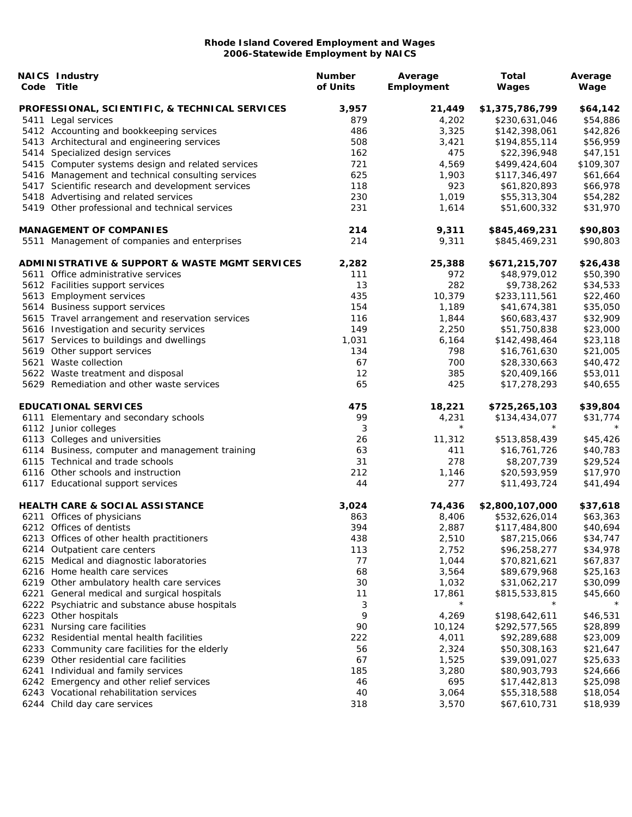| Code | <b>NAICS Industry</b><br>Title                    | <b>Number</b><br>of Units | Average<br>Employment | Total<br>Wages  | Average<br>Wage |
|------|---------------------------------------------------|---------------------------|-----------------------|-----------------|-----------------|
|      | PROFESSIONAL, SCIENTIFIC, & TECHNICAL SERVICES    | 3,957                     | 21,449                | \$1,375,786,799 | \$64,142        |
|      | 5411 Legal services                               | 879                       | 4,202                 | \$230,631,046   | \$54,886        |
|      | 5412 Accounting and bookkeeping services          | 486                       | 3,325                 | \$142,398,061   | \$42,826        |
|      | 5413 Architectural and engineering services       | 508                       | 3,421                 | \$194,855,114   | \$56,959        |
|      | 5414 Specialized design services                  | 162                       | 475                   | \$22,396,948    | \$47,151        |
|      | 5415 Computer systems design and related services | 721                       | 4,569                 | \$499,424,604   | \$109,307       |
|      | 5416 Management and technical consulting services | 625                       | 1,903                 | \$117,346,497   | \$61,664        |
|      | 5417 Scientific research and development services | 118                       | 923                   | \$61,820,893    | \$66,978        |
|      | 5418 Advertising and related services             | 230                       | 1,019                 | \$55,313,304    | \$54,282        |
|      | 5419 Other professional and technical services    | 231                       | 1,614                 | \$51,600,332    | \$31,970        |
|      | <b>MANAGEMENT OF COMPANIES</b>                    | 214                       | 9,311                 | \$845,469,231   | \$90,803        |
|      | 5511 Management of companies and enterprises      | 214                       | 9,311                 | \$845,469,231   | \$90,803        |
|      | ADMINISTRATIVE & SUPPORT & WASTE MGMT SERVICES    | 2,282                     | 25,388                | \$671,215,707   | \$26,438        |
|      | 5611 Office administrative services               | 111                       | 972                   | \$48,979,012    | \$50,390        |
|      | 5612 Facilities support services                  | 13                        | 282                   | \$9,738,262     | \$34,533        |
|      | 5613 Employment services                          | 435                       | 10,379                | \$233,111,561   | \$22,460        |
|      | 5614 Business support services                    | 154                       | 1,189                 | \$41,674,381    | \$35,050        |
|      | 5615 Travel arrangement and reservation services  | 116                       | 1,844                 | \$60,683,437    | \$32,909        |
|      | 5616 Investigation and security services          | 149                       | 2,250                 | \$51,750,838    | \$23,000        |
|      | 5617 Services to buildings and dwellings          | 1,031                     | 6,164                 | \$142,498,464   | \$23,118        |
|      | 5619 Other support services                       | 134                       | 798                   | \$16,761,630    | \$21,005        |
|      | 5621 Waste collection                             | 67                        | 700                   | \$28,330,663    | \$40,472        |
|      | 5622 Waste treatment and disposal                 | 12                        | 385                   | \$20,409,166    | \$53,011        |
|      | 5629 Remediation and other waste services         | 65                        | 425                   | \$17,278,293    | \$40,655        |
|      | <b>EDUCATIONAL SERVICES</b>                       | 475                       | 18,221                | \$725,265,103   | \$39,804        |
|      | 6111 Elementary and secondary schools             | 99                        | 4,231                 | \$134,434,077   | \$31,774        |
|      | 6112 Junior colleges                              | 3                         | $\star$               | $\star$         |                 |
|      | 6113 Colleges and universities                    | 26                        | 11,312                | \$513,858,439   | \$45,426        |
|      | 6114 Business, computer and management training   | 63                        | 411                   | \$16,761,726    | \$40,783        |
|      | 6115 Technical and trade schools                  | 31                        | 278                   | \$8,207,739     | \$29,524        |
|      | 6116 Other schools and instruction                | 212                       | 1,146                 | \$20,593,959    | \$17,970        |
|      | 6117 Educational support services                 | 44                        | 277                   | \$11,493,724    | \$41,494        |
|      | <b>HEALTH CARE &amp; SOCIAL ASSISTANCE</b>        | 3,024                     | 74,436                | \$2,800,107,000 | \$37,618        |
|      | 6211 Offices of physicians                        | 863                       | 8,406                 | \$532,626,014   | \$63,363        |
|      | 6212 Offices of dentists                          | 394                       | 2,887                 | \$117,484,800   | \$40,694        |
|      | 6213 Offices of other health practitioners        | 438                       | 2,510                 | \$87,215,066    | \$34,747        |
|      | 6214 Outpatient care centers                      | 113                       | 2,752                 | \$96,258,277    | \$34,978        |
|      | 6215 Medical and diagnostic laboratories          | 77                        | 1,044                 | \$70,821,621    | \$67,837        |
|      | 6216 Home health care services                    | 68                        | 3,564                 | \$89,679,968    | \$25,163        |
|      | 6219 Other ambulatory health care services        | 30                        | 1,032                 | \$31,062,217    | \$30,099        |
| 6221 | General medical and surgical hospitals            | 11                        | 17,861                | \$815,533,815   | \$45,660        |
|      | 6222 Psychiatric and substance abuse hospitals    | 3                         | $\star$               |                 |                 |
|      | 6223 Other hospitals                              | 9                         | 4,269                 | \$198,642,611   | \$46,531        |
| 6231 | Nursing care facilities                           | 90                        | 10,124                | \$292,577,565   | \$28,899        |
|      | 6232 Residential mental health facilities         | 222                       | 4,011                 | \$92,289,688    | \$23,009        |
|      | 6233 Community care facilities for the elderly    | 56                        | 2,324                 | \$50,308,163    | \$21,647        |
|      | 6239 Other residential care facilities            | 67                        | 1,525                 | \$39,091,027    | \$25,633        |
| 6241 | Individual and family services                    | 185                       | 3,280                 | \$80,903,793    | \$24,666        |
|      | 6242 Emergency and other relief services          | 46                        | 695                   | \$17,442,813    | \$25,098        |
|      | 6243 Vocational rehabilitation services           | 40                        | 3,064                 | \$55,318,588    | \$18,054        |
|      | 6244 Child day care services                      | 318                       | 3,570                 | \$67,610,731    | \$18,939        |